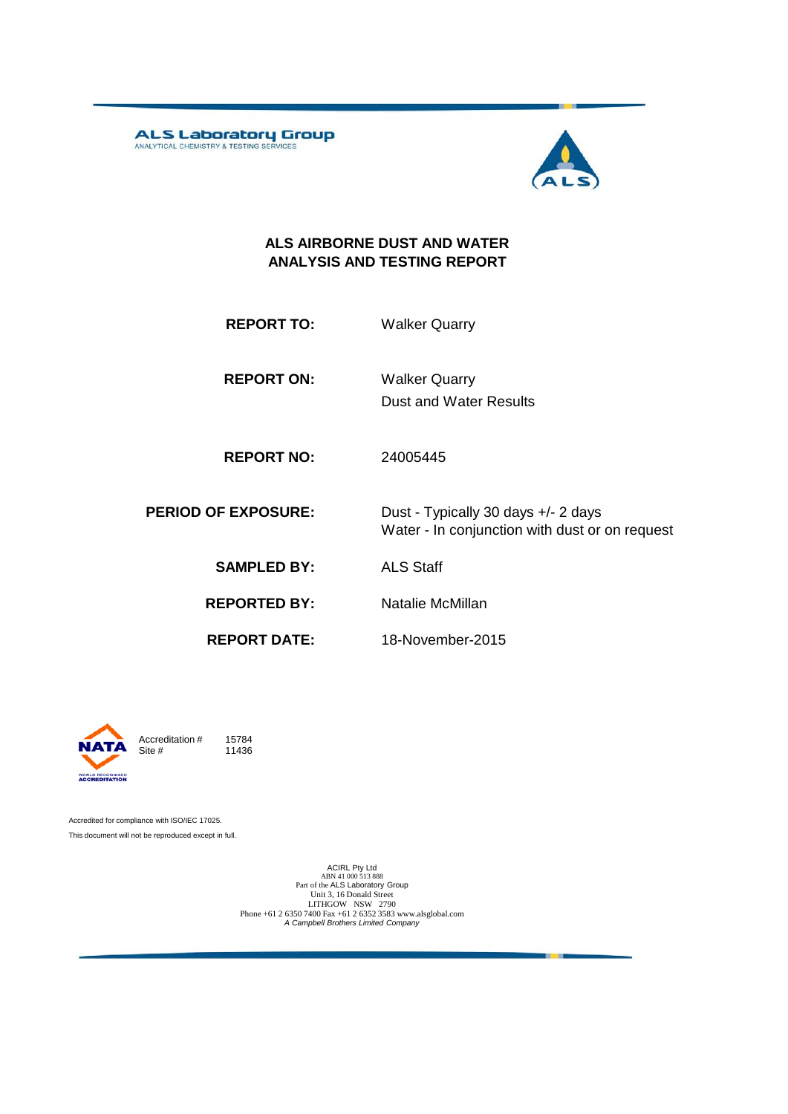ALS Laboratory Group



#### **ALS AIRBORNE DUST AND WATER ANALYSIS AND TESTING REPORT**

**REPORT TO:** Walker Quarry

**REPORT ON:** Dust and Water Results Walker Quarry

**REPORT NO:** 24005445

**PERIOD OF EXPOSURE:** Dust - Typically 30 days +/- 2 days Water - In conjunction with dust or on request

**SAMPLED BY:** ALS Staff

**REPORTED BY:** Natalie McMillan

**REPORT DATE:**

18-November-2015



Accreditation  $\#$  15784<br>Site  $\#$  11436 11436

Accredited for compliance with ISO/IEC 17025. This document will not be reproduced except in full.

> ACIRL Pty Ltd<br>ABN 41 000 513 888<br>Part of the ALS Laboratory Group Unit 3, 16 Donald Street LITHGOW NSW 2790 Phone +61 2 6350 7400 Fax +61 2 6352 3583 www.alsglobal.com *A Campbell Brothers Limited Company*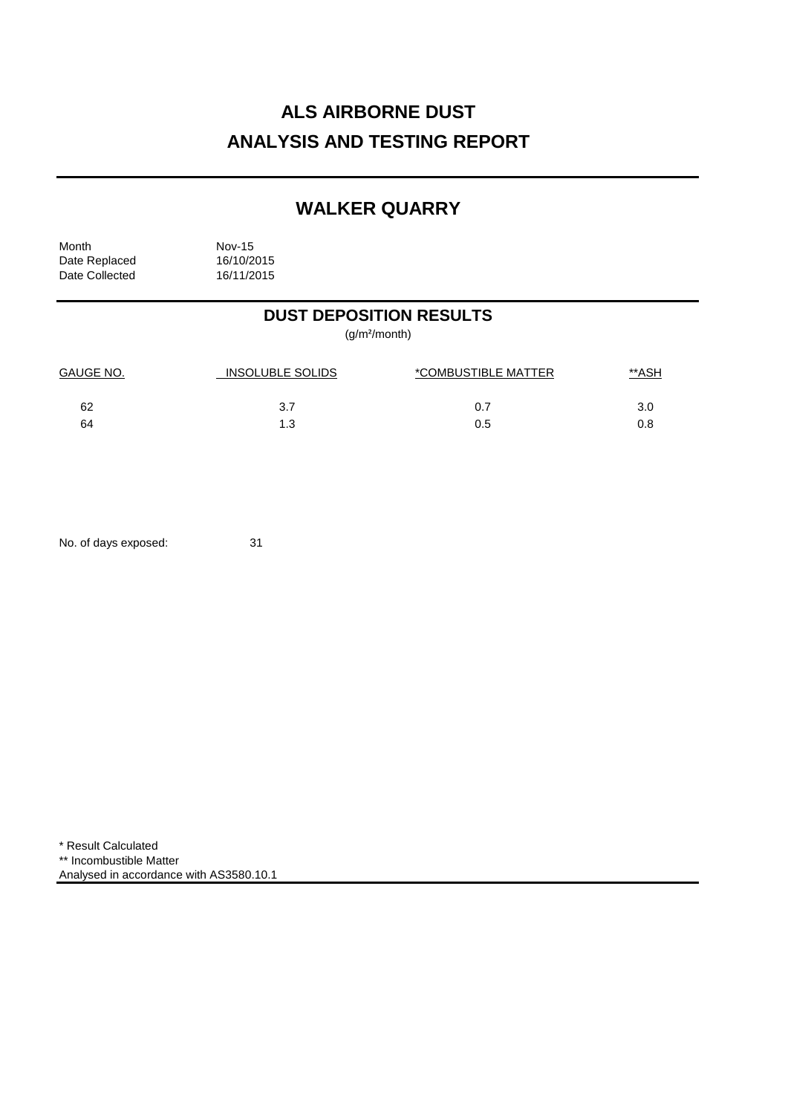# **ALS AIRBORNE DUST ANALYSIS AND TESTING REPORT**

### **WALKER QUARRY**

| Month          | <b>Nov-15</b> |  |
|----------------|---------------|--|
| Date Replaced  | 16/10/2015    |  |
| Date Collected | 16/11/2015    |  |

### **DUST DEPOSITION RESULTS**

(g/m²/month)

| GAUGE NO. | <b>INSOLUBLE SOLIDS</b> | *COMBUSTIBLE MATTER | <u>**ASH</u> |
|-----------|-------------------------|---------------------|--------------|
| 62        | 3.7                     | 0.7                 | 3.0          |
| 64        | 1.3                     | 0.5                 |              |

No. of days exposed: 31

\* Result Calculated \*\* Incombustible Matter Analysed in accordance with AS3580.10.1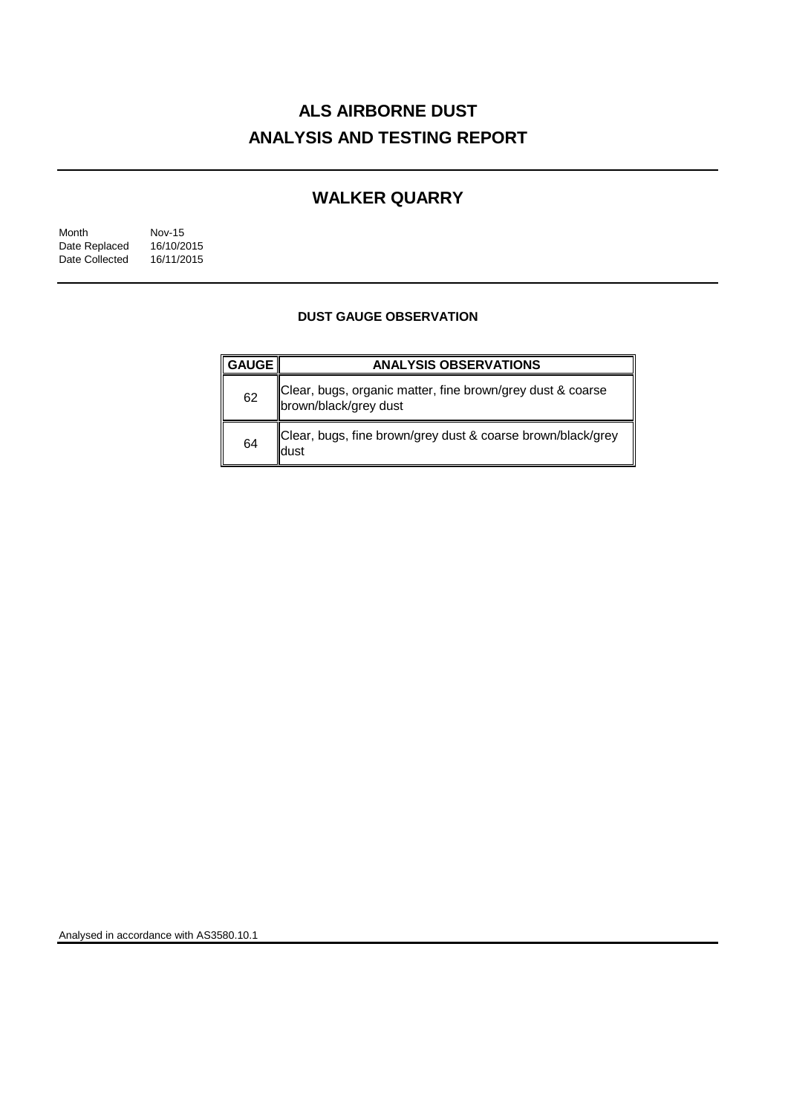# **ALS AIRBORNE DUST ANALYSIS AND TESTING REPORT**

### **WALKER QUARRY**

| Month          | <b>Nov-15</b> |  |
|----------------|---------------|--|
| Date Replaced  | 16/10/2015    |  |
| Date Collected | 16/11/2015    |  |

#### **DUST GAUGE OBSERVATION**

| <b>GAUGE</b> | <b>ANALYSIS OBSERVATIONS</b>                                                        |  |  |
|--------------|-------------------------------------------------------------------------------------|--|--|
| 62           | Clear, bugs, organic matter, fine brown/grey dust & coarse<br>brown/black/grey dust |  |  |
| 64           | Clear, bugs, fine brown/grey dust & coarse brown/black/grey<br>dust                 |  |  |

Analysed in accordance with AS3580.10.1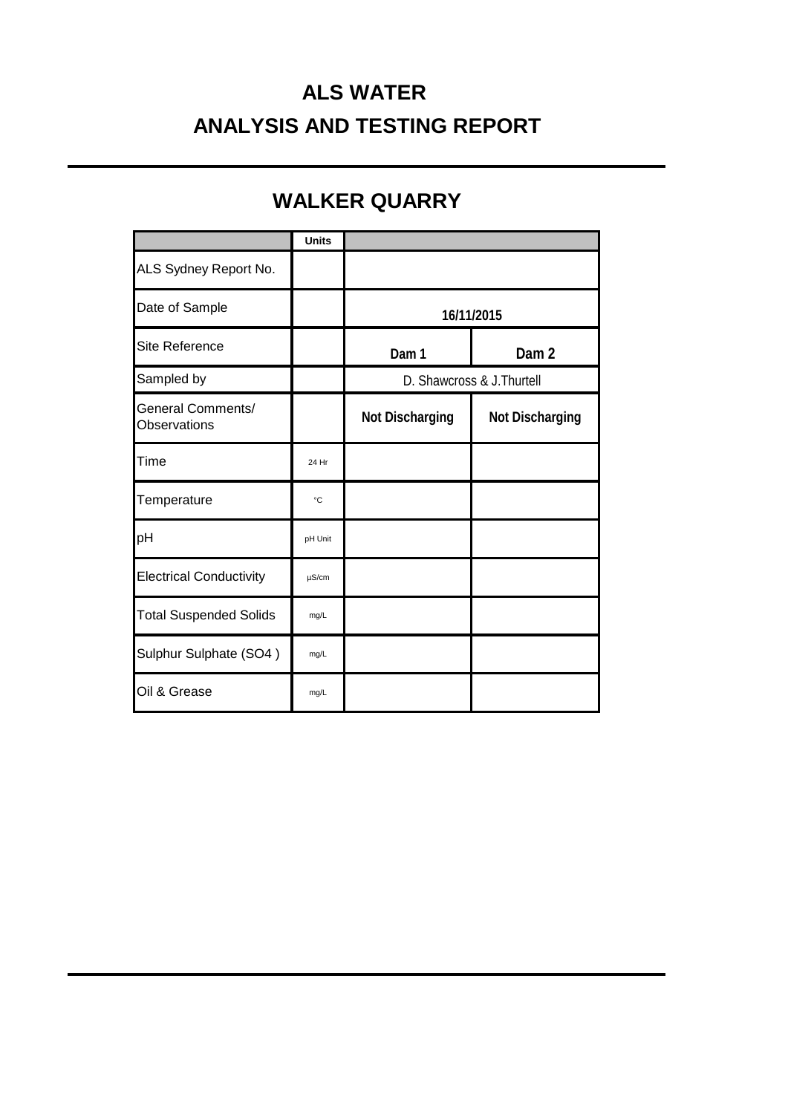# **ALS WATER ANALYSIS AND TESTING REPORT**

## **WALKER QUARRY**

|                                   | <b>Units</b> |                            |                        |
|-----------------------------------|--------------|----------------------------|------------------------|
| ALS Sydney Report No.             |              |                            |                        |
| Date of Sample                    |              | 16/11/2015                 |                        |
| Site Reference                    |              | Dam 1                      | Dam <sub>2</sub>       |
| Sampled by                        |              | D. Shawcross & J. Thurtell |                        |
| General Comments/<br>Observations |              | <b>Not Discharging</b>     | <b>Not Discharging</b> |
| Time                              | 24 Hr        |                            |                        |
| Temperature                       | $^{\circ}C$  |                            |                        |
| pH                                | pH Unit      |                            |                        |
| <b>Electrical Conductivity</b>    | $\mu$ S/cm   |                            |                        |
| <b>Total Suspended Solids</b>     | mg/L         |                            |                        |
| Sulphur Sulphate (SO4)            | mg/L         |                            |                        |
| Oil & Grease                      | mg/L         |                            |                        |